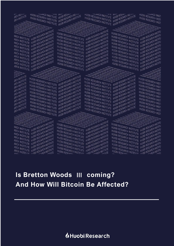## *I*Huobi Research

# **And How Will Bitcoin Be Affected?**

## **Is Bretton Woods Ⅲ coming?**

ARCH INSTITUTE HUDBI RESEARCH INSTITUTE<br>ARCH INSTITUTE HUDBI RESEARCH INSTITUTE<br>ARCH INSTITUTE HUDBI RESEARCH INSTITUTE

ARCH INSTITUTE HUDBI RESEARCH INSTITUTE ARCH INSTITUTE HUDBI RESEARCH INSTITUTE HUDBI RESEARCH INSTITUTE HUDBI RESEARCH INSTITUTE HUDBI RESEARCH INSTITUTE HUDBI RESEARCH INSTITUTE HUDBI RESEARCH INSTITUTE HUDBI RESEARCH INSTITUTE HUDBI RESEARCH INSTITUTE HUDBI R ARCH INSTITUTE HUDBI RESEARCH INSTITUTE<br>ARCH INSTITUTE HUDBI RESEARCH INSTITUTE<br>ARCH INSTITUTE HUDBI RESEARCH INSTITUTE<br>ARCH INSTITUTE HUDBI RESEARCH INSTITUTE ARCH INSTITUTE HUDBI RESEARCH INSTITUTE<br>ARCH INSTITUTE HUDBI RESEARCH INSTITUTE<br>ARCH INSTITUTE HUDBI RESEARCH INSTITUTE<br>ARCH INSTITUTE HUDBI RESEARCH INSTITUTE HUOBI RESEARCH INSTITUTE HUOBI RESEARCH INSTITUTE<br>HUOBI RESEARCH INSTITUTE HUOBI RESEARCH INSTITUTE<br>HUOBI RESEARCH INSTITUTE HUOBI RESEARCH INSTITUTE<br>HUOBI RESEARCH INSTITUTE HUOBI RESEARCH INSTITUTE

HUOBI RESEARCH INSTITUTE HUOBI RESEARCH INSTITUTE

HUOBI RESEARCH INSTITUTE HUOBI RESEARCH INSTITUTE

HUOBI RESEARCH INSTITUTE HUOBI RESEARCH INSTITUTE<br>HUOBI RESEARCH INSTITUTE HUOBI RESEARCH INSTITUTE<br>HUOBI RESEARCH INSTITUTE HUOBI RESEARCH INSTITUTE<br>HUOBI RESEARCH INSTITUTE HUOBI RESEARCH INSTITUTE

HUOBI RESEARCH INSTITUTE HUOBI RESEARCH INSTITUTE<br>HUOBI RESEARCH INSTITUTE HUOBI RESEARCH INSTITUTE<br>HUOBI RESEARCH INSTITUTE HUOBI RESEARCH INSTITUTE<br>HUOBI RESEARCH INSTITUTE HUOBI RESEARCH INSTITUTE

HUOBI RESEARCH INSTITUTE HUOBI RESEARCH INSTITUTE HUOBI RESEARCH INSTITUTE HUOBI RESEARCH INSTITUTE

HUOBI RESEARCH INSTITUTE HUOBI RESEARCH INSTITUTE<br>HUOBI RESEARCH INSTITUTE HUOBI RESEARCH INSTITUTE<br>HUOBI RESEARCH INSTITUTE HUOBI RESEARCH INSTITUTE<br>HUOBI RESEARCH INSTITUTE HUOBI RESEARCH INSTITUTE

HUOBI RESEARCH INSTITUTE HUOBI RESEARCH INSTITUTE

HUOBI RESEARCH INSTITUTE HUOBI RESEARCH INSTITUTE<br>HUOBI RESEARCH INSTITUTE HUOBI RESEARCH INSTITUTE<br>HUOBI RESEARCH INSTITUTE HUOBI RESEARCH INSTITUTE<br>HUOBI RESEARCH INSTITUTE HUOBI RESEARCH INSTITUTE

HUOBI RESEARCH INSTITUTE HUOBI RESEARCH INSTITUTE<br>HUOBI RESEARCH INSTITUTE HUOBI RESEARCH INSTITUTE<br>HUOBI RESEARCH INSTITUTE HUOBI RESEARCH INSTITUTE<br>SESEARCH INSTITUTE HUOBI RESEARCH INSTITUTE

HUOBI RESEARCH INSTITUTE HUOBI RESEARCH INSTITUTE<br>HUOBI RESEARCH INSTITUTE HUOBI RESEARCH INSTITUTE<br>EXECUTIVE HUOBI RESEARCH INSTITUTE HUOBI RESEARCH INSTITUTE

HUOBI RESEARCH INSTITUTE HUOBI RESEARCH INSTITUTE AND RESEARCH INSTITUTE AND RESEARCH INSTITUTE AND RESEARCH INSTITUTE AND RESEARCH INSTITUTE AND RESEARCH INSTITUTE AND RESEARCH INSTITUTE AND RESEARCH INSTITUTE AND RESEARC HUOBI RESEARCH INSTITUTE HUOBI RESEARCH INSTITUTE<br>HUOBI RESEARCH INSTITUTE HUOBI RESEARCH INSTITUTE<br>HUOBI RESEARCH INSTITUTE HUOBI RESEARCH INSTITUTE<br>HUOBI RESEARCH INSTITUTE HUOBI RESEARCH INSTITUTE<br>HUOBI RESEARCH INSTITU

HUOBI RESEARCH INSTITUTE HUOBI RESEARCH INSTITUTE

HUOBI RESEARCH INSTITUTE HUOBI RESEARCH INSTITUTE HUOBI RESEARCH INSTITUTE HUOBI RESEARCH INSTITUTE HUOBI RESEARCH INSTITUTE HUOBI RESEARCH INSTITUTE HUOBI RESEARCH INSTITUTE HUOBI RESEARCH INSTITUTE HUOBI RESEARCH INSTITUTE HUOBI RESEARCH INSTITUTE HUOBI RESEARCH INSTITUTE HUOBI RESEARCH INSTITUTE HUOBI RESEARCH INSTITUTE<br>HUOBI RESEARCH INSTITUTE HUOBI RESEARCH INSTITUTE<br>HUOBI RESEARCH INSTITUTE HUOBI RESEARCH INSTITUTE<br>HUOBI RESEARCH INSTITUTE HUOBI RESEARCH INSTITUTE<br>HUOBI RESEARCH INSTITU

HUOBI RESEARCH INSTITUTE HUOBI RESEARCH INSTITUTE<br>HUOBI RESEARCH INSTITUTE HUOBI RESEARCH INSTITUTE<br>HUOBI RESEARCH INSTITUTE HUOBI RESEARCH INSTITUTE<br>HUOBI RESEARCH INSTITUTE HUOBI RESEARCH INSTITU

HUOBI RESEARCH INSTITUTE HUOBI RESEARCH INSTITUTE<br>HUOBI RESEARCH INSTITUTE HUOBI RESEARCH INSTITUTE<br>HUOBI RESEARCH INSTITUTE HUOBI RESEARCH INSTITUTE<br>HUOBI RESEARCH INSTITUTE HUOBI RESEARCH INSTITU

HUOBI RESEARCH INSTITUTE HUOBI RESEARCH INSTITUTE<br>HUOBI RESEARCH INSTITUTE HUOBI RESEARCH INSTITUTE

HUOBI RESEARCH INSTITUTE HUOBI RESEARCH INSTITUTE HUOBI RESEARCH INSTITUTE HUOBI RESEARCH INSTITUTE HUOBI RESEARCH INSTITUTE HUOBI RESEARCH INSTITUTE<br>HUOBI RESEARCH INSTITUTE HUOBI RESEARCH INSTITUTE<br>HUOBI RESEARCH INSTITUTE HUOBI RESEARCH INSTITUTE<br>HUOBI RESEARCH INSTITUTE HUOBI RESEARCH INSTITUTE HUOBI RESEARCH INSTITUTE HUOBI RESEARCH INSTITUTE<br>HUOBI RESEARCH INSTITUTE HUOBI RESEARCH INSTITUTE<br>HUOBI RESEARCH INSTITUTE HUOBI RESEARCH INSTITUTE<br>HUOBI RESEARCH INSTITUTE HUOBI RESEARCH INSTITUTE HUOBI RESEARCH INSTITUTE HUOBI RESEARCH INSTITUTE HUOBI RESEARCH INSTITUTE HUOBI RESEARCH INSTITUTE<br>HUOBI RESEARCH INSTITUTE HUOBI RESEARCH INSTITUTE<br>HUOBI RESEARCH INSTITUTE HUOBI RESEARCH INSTITUTE<br>HUOBI RESEARCH INSTITUTE HUOBI RESEARCH INSTITUTE HUOBI RESEARCH INSTITUTE HUOBI RESEARCH INSTITUTE<br>HUOBI RESEARCH INSTITUTE HUOBI RESEARCH INSTITUTE<br>HUOBI RESEARCH INSTITUTE HUOBI RESEARCH INSTITUTE<br>HUOBI RESEARCH INSTITUTE HUOBI RESEARCH INSTITUTE HUOBI RESEARCH INSTITUTE HUOBI RESEARCH INSTITUTE<br>HUOBI RESEARCH INSTITUTE HUOBI RESEARCH INSTITUTE<br>HUOBI RESEARCH INSTITUTE HUOBI RESEARCH INSTITUTE<br>HUOBI RESEARCH INSTITUTE HUOBI RESEARCH INSTITUTE HUOBI RESEARCH INSTITUTE HUOBI RESEARCH INSTITUTE<br>HUOBI RESEARCH INSTITUTE HUOBI RESEARCH INSTITUTE<br>HUOBI RESEARCH INSTITUTE HUOBI RESEARCH INSTITUTE<br>SESEARCH INSTITUTE HUOBI RESEARCH INSTITUTE

HUOBI RESEARCH INSTITUTE HUOBI RESEARCH INSTITUTE HUOBI RESEARCH INSTITUTE HUOBI RESEARCH INSTITUTE HUOBI RESEARCH INSTITUTE HUOBI RESEARCH INSTITUTE HUOBI RESEARCH INSTITUTE HUOBI RESEARCH INSTITUTE HUOBI RESEARCH INSTITU

HUOBI RESEARCH INSTITUTE HUOBI RESEARCH INSTITUTE

HUOBI RESEARCH INSTITUDED HUOBI RESEARCH INSTITUTE

RCH INSTITUTE **RCH INSTITUTE** 

**REAL MS TIME** 

RCH INSTITUTE

**RCH INSTITUTE**<br>RCH INSTITUTE<br>RCH INSTITUTE

RCH INSTITUTE

RCH INSTITUTE

RCH INSTITUTE

RCH INSTITUTE

RCH INSTITUTE

RCH INSTITUTE

HUOBI RESEARCH INSTITUTE HUOBI RESEARCH INSTITUTE<br>HUOBI RESEARCH INSTITUTE HUOBI RESEARCH INSTITUTE

ARCH INSTITUTE HUDBI RESEARCH INSTITUTE

ARCH INSTITUTE HUDBI RESEARCH INSTITUTE

ARCH INSTITUTE HUDBI RESEARCH INSTITUTE<br>ARCH INSTITUTE HUDBI RESEARCH INSTITUTE<br>ARCH INSTITUTE HUDBI RESEARCH INSTITUTE<br>ARCH INSTITUTE HUDBI RESEARCH INSTITUTE ARCH INSTITUTE HUDBI RESEARCH INSTITUTE<br>ARCH INSTITUTE HUDBI RESEARCH INSTITUTE<br>ARCH INSTITUTE HUDBI RESEARCH INSTITUTE<br>ARCH INSTITUTE HUDBI RESEARCH INSTITUTE<br>ARCH INSTITUTE HUDBI RESEARCH INSTITUTE ARCH INSTITUTE HUBB RESEARCH INSTITUTE<br>ARCH INSTITUTE HUBB RESEARCH INSTITUTE<br>ARCH INSTITUTE HUBB RESEARCH INSTITUTE<br>ARCH INSTITUTE HUBB RESEARCH INSTITUTE<br>ARCH INSTITUTE HUBB RESEARCH INSTITUTE

ARCH INSTITUTE HUDBI RESEARCH INSTITUTE<br>ARCH INSTITUTE HUDBI RESEARCH INSTITUTE<br>ARCH INSTITUTE HUDBI RESEARCH INSTITUTE<br>ARCH INSTITUTE HUDBI RESEARCH INSTITUTE<br>ARCH INSTITUTE HUDBI RESEARCH INSTITUTE<br>ARCH INSTITUTE HUDBI R

ARCH INSTITUTE HUDBI RESEARCH INSTITUTE<br>ARCH INSTITUTE HUDBI RESEARCH INSTITUTE<br>ARCH INSTITUTE HUDBI RESEARCH INSTITUTE

HUOBI RESEARCH INSTITUTE HUOBI RESEARCH INSTITUTE<br>HUOBI RESEARCH INSTITUTE HUOBI RESEARCH INSTITUTE<br>ESSEARCH INSTITUTE HUOBI RESEARCH INSTITUTE

HUOBI RESEARCH INSTITUTE HUOBI RESEARCH INSTITUTE HUOBI RESEARCH INSTITUTE HUOBI RESEARCH INSTITUTE HUOBI RESEARCH INSTITUTE HUOBI RESEARCH INSTITUTE HUOBI RESEARCH INSTITUTE HUOBI RESEARCH INSTITUTE HUOBI RESEARCH INSTITU

HUOBI RESEARCH INSTITUTE HUOBI RESEARCH INSTITUTE<br>HUOBI RESEARCH INSTITUTE HUOBI RESEARCH INSTITUTE HUOBI RESEARCH INSTITUTE HUOBI RESEARCH INSTITUTE HUOBI RESEARCH INSTITUTE HUOBI RESEARCH INSTITUTE

HUOBI RESEARCH INSTITUTE HUOBI RESEARCH INSTITUTE HUOBI RESEARCH INSTITUDED IN THE MANUSTRESS ARCH INSTITUDED HUOBI RESEARCH INSTITUS HUOBI RESEARCH INSTITUTE IN THE MAIN RESEARCH INSTITUTE IN THE MAIN

HUOBI RESEARCH INSTITUDED

HUOBI RESEARCH INSTITUDED

HUOBI RESEARCH INSTITUS

HUOBI RESEARCH INSTITUTE HOOBI RESEARCH INSTITUTE

HUOBI RESEARCH INSTITUTE RESEARCH INSTITUTE

HUOBI RESEARCH INSTITUTE HUOBI RESEARCH INSTITUTE AND RESEARCH INSTITUTE AND RESEARCH INSTITUTE AND RESEARCH INSTITUTE AND RESEARCH INSTITUTE AND RESEARCH INSTITUTE AND RESEARCH INSTITUTE AND RESEARCH INSTITUTE AND RESEARC TUOBI RESEARCH INSTITUTE HUOBI RESEARCH INSTITUTE<br>HUOBI RESEARCH INSTITUTE HUOBI RESEARCH INSTITUTE<br>HUOBI RESEARCH INSTITUTE HUOBI RESEARCH INSTITUTE<br>HUOBI RESEARCH INSTITUTE HUOBI RESEARCH INSTITU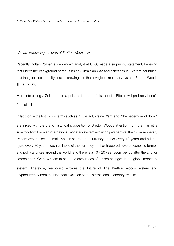*Authored by William Lee, Researcher at Huobi Research Institute*

#### "*We are witnessing the birth of Bretton Woods* Ⅲ*.*"

Recently, Zoltan Pozsar, a well-known analyst at UBS, made a surprising statement, believing that under the background of the Russian- Ukrainian War and sanctions in western countries, that the global commodity crisis is brewing and the new global monetary system- Bretton Woods Ⅲ is coming.

More interestingly, Zoltan made a point at the end of his report: "Bitcoin will probably benefit from all this."

In fact, once the hot words terms such as "Russia- Ukraine War" and "the hegemony of dollar" are linked with the grand historical proposition of Bretton Woods attention from the market is sure to follow. From an international monetary system evolution perspective, the global monetary system experiences a small cycle in search of a currency anchor every 40 years and a large cycle every 80 years. Each collapse of the currency anchor triggered severe economic turmoil and political crises around the world, and there is a 10 - 20 year boom period after the anchor search ends. We now seem to be at the crossroads of a "sea change" in the global monetary

system. Therefore, we could explore the future of The Bretton Woods system and cryptocurrency from the historical evolution of the international monetary system.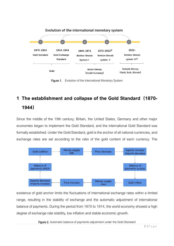

Figure 1. Evolution of the International Monetary System

## **1 The establishment and collapse of the Gold Standard(1870- 1944)**

Since the middle of the 19th century, Britain, the United States, Germany and other major economies began to implement the Gold Standard, and the international Gold Standard was formally established. Under the Gold Standard, gold is the anchor of all national currencies, and exchange rates are set according to the ratio of the gold content of each currency. The



existence of gold anchor limits the fluctuations of international exchange rates within a limited range, resulting in the stability of exchange and the automatic adjustment of international balance of payments. During the period from 1870 to 1914, the world economy showed a high degree of exchange rate stability, low inflation and stable economic growth.

Figure 2. Automatic balance of payments adjustment under the Gold Standard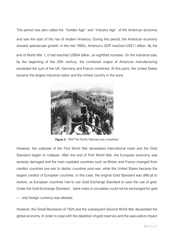This period was also called the "Golden Age" and "Industry Age" of the American economy and saw the start of the rise of modern America. During this period, the American economy showed spectacular growth: in the mid 1880s, America's GDP reached US\$11 billion. By the

end of World War 1, it had reached US\$84 billion, an eightfold increase. On the industrial side, by the beginning of the 20th century, the combined output of American manufacturing exceeded the sum of the UK, Germany and France combined. At this point, the United States became the largest industrial nation and the richest country in the word.



Figure 3. 1869 The Pacific Railroad was completed

However, the outbreak of the First World War devastated international trade and the Gold Standard began to collapse. After the end of First World War, the European economy was severely damaged and the main capitalist countries such as Britain and France changed from creditor countries pre-war to debtor countries post-war, while the United States became the largest creditor of European countries. In this case, the original Gold Standard was difficult to restore, as European countries had to use Gold Exchange Standard to save the use of gold. Under the Gold Exchange Standard, bank notes in circulation could not be exchanged for gold

— only foreign currency was allowed.

However, the Great Recession of 1929 and the subsequent Second World War devastated the global economy. In order to cope with the depletion of gold reserves and the speculative impact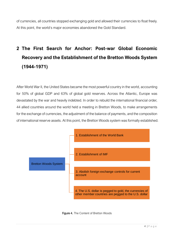of currencies, all countries stopped exchanging gold and allowed their currencies to float freely. At this point, the world's major economies abandoned the Gold Standard.

## **2 The First Search for Anchor: Post-war Global Economic Recovery and the Establishment of the Bretton Woods System (1944-1971)**

After World War II, the United States became the most powerful country in the world, accounting for 50% of global GDP and 63% of global gold reserves. Across the Atlantic, Europe was devastated by the war and heavily indebted. In order to rebuild the international financial order, 44 allied countries around the world held a meeting in Bretton Woods, to make arrangements for the exchange of currencies, the adjustment of the balance of payments, and the composition of international reserve assets. At this point, the Bretton Woods system was formally established.



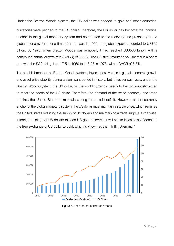Under the Bretton Woods system, the US dollar was pegged to gold and other countries'

currencies were pegged to the US dollar. Therefore, the US dollar has become the "nominal anchor" in the global monetary system and contributed to the recovery and prosperity of the global economy for a long time after the war. In 1950, the global export amounted to US\$62 billion. By 1973, when Bretton Woods was removed, it had reached US\$580 billion, with a compound annual growth rate (CAGR) of 15.5%. The US stock market also ushered in a boom era, with the S&P rising from 17.5 in 1950 to 116.03 in 1973, with a CAGR of 8.6%.

The establishment of the Bretton Woods system played a positive role in global economic growth and asset price stability during a significant period in history, but it has serious flaws: under the Bretton Woods system, the US dollar, as the world currency, needs to be continuously issued to meet the needs of the US dollar. Therefore, the demand of the world economy and trade requires the United States to maintain a long-term trade deficit. However, as the currency anchor of the global monetary system, the US dollar must maintain a stable price, which requires the United States reducing the supply of US dollars and maintaining a trade surplus. Otherwise, if foreign holdings of US dollars exceed US gold reserves, it will shake investor confidence in the free exchange of US dollar to gold, which is known as the "Triffin Dilemma."



Figure 5. The Content of Bretton Woods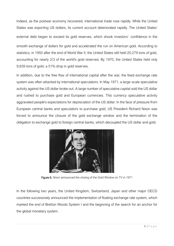Indeed, as the postwar economy recovered, international trade rose rapidly. While the United States was exporting US dollars, its current account deteriorated rapidly. The United States' external debt began to exceed its gold reserves, which shook investors' confidence in the smooth exchange of dollars for gold and accelerated the run on American gold. According to statistics, in 1950 after the end of World War II, the United States still held 20,279 tons of gold, accounting for nearly 2/3 of the world's gold reserves; By 1970, the United States held only 9,839 tons of gold, a 51% drop in gold reserves.

In addition, due to the free flow of international capital after the war, the fixed exchange rate system was often attacked by international speculators. In May 1971, a large-scale speculative activity against the US dollar broke out. A large number of speculative capital sold the US dollar and rushed to purchase gold and European currencies. This currency speculative activity aggravated people's expectations for depreciation of the US dollar. In the face of pressure from European central banks and speculators to purchase gold, US President Richard Nixon was forced to announce the closure of the gold exchange window and the termination of the obligation to exchange gold to foreign central banks, which decoupled the US dollar and gold.



Figure 6. Nixon announced the closing of the Gold Window on TV in 1971

In the following two years, the United Kingdom, Switzerland, Japan and other major OECD countries successively announced the implementation of floating exchange rate system, which marked the end of Bretton Woods System I and the beginning of the search for an anchor for the global monetary system.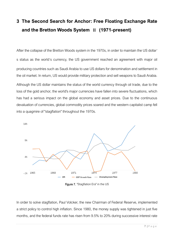## **3 The Second Search for Anchor: Free Floating Exchange Rate and the Bretton Woods System Ⅱ (1971-present)**

After the collapse of the Bretton Woods system in the 1970s, in order to maintain the US dollar' s status as the world's currency, the US government reached an agreement with major oil producing countries such as Saudi Arabia to use US dollars for denomination and settlement in the oil market. In return, US would provide military protection and sell weapons to Saudi Arabia. Although the US dollar maintains the status of the world currency through oil trade, due to the loss of the gold anchor, the world's major currencies have fallen into severe fluctuations, which has had a serious impact on the global economy and asset prices. Due to the continuous devaluation of currencies, global commodity prices soared and the western capitalist camp fell into a quagmire of "stagflation" throughout the 1970s.



Figure 7. "Stagflation Era" in the US

In order to solve stagflation, Paul Volcker, the new Chairman of Federal Reserve, implemented a strict policy to control high inflation. Since 1980, the money supply was tightened in just five months, and the federal funds rate has risen from 9.5% to 20% during successive interest rate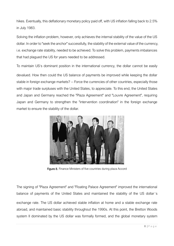hikes. Eventually, this deflationary monetary policy paid off, with US inflation falling back to 2.5% in July 1983.

Solving the inflation problem, however, only achieves the internal stability of the value of the US dollar. In order to "seek the anchor" successfully, the stability of the external value of the currency, i.e. exchange rate stability, needed to be achieved. To solve this problem, payments imbalances that had plagued the US for years needed to be addressed.

To maintain US's dominant position in the international currency, the dollar cannot be easily

devalued. How then could the US balance of payments be improved while keeping the dollar stable in foreign exchange markets? -- Force the currencies of other countries, especially those with major trade surpluses with the United States, to appreciate. To this end, the United States and Japan and Germany reached the "Plaza Agreement" and "Louvre Agreement", requiring Japan and Germany to strengthen the "intervention coordination" in the foreign exchange market to ensure the stability of the dollar.



Figure 8. Finance Ministers of five countries during plaza Accord

The signing of "Plaza Agreement" and "Floating Palace Agreement" improved the international balance of payments of the United States and maintained the stability of the US dollar's exchange rate. The US dollar achieved stable inflation at home and a stable exchange rate abroad, and maintained basic stability throughout the 1990s. At this point, the Bretton Woods system II dominated by the US dollar was formally formed, and the global monetary system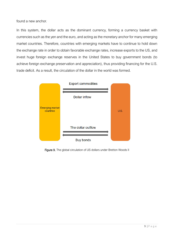found a new anchor.

In this system, the dollar acts as the dominant currency, forming a currency basket with currencies such as the yen and the euro, and acting as the monetary anchor for many emerging market countries. Therefore, countries with emerging markets have to continue to hold down the exchange rate in order to obtain favorable exchange rates, increase exports to the US, and invest huge foreign exchange reserves in the United States to buy government bonds (to achieve foreign exchange preservation and appreciation), thus providing financing for the U.S. trade deficit. As a result, the circulation of the dollar in the world was formed.



Figure 9. The global circulation of US dollars under Bretton Woods II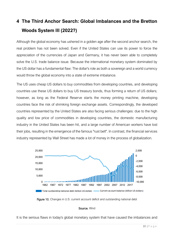## **4 The Third Anchor Search: Global Imbalances and the Bretton Woods System III (2022?)**

Although the global economy has ushered in a golden age after the second anchor search, the real problem has not been solved. Even if the United States can use its power to force the appreciation of the currencies of Japan and Germany, it has never been able to completely solve the U.S. trade balance issue. Because the international monetary system dominated by the US dollar has a fundamental flaw: The dollar's role as both a sovereign and a world currency would throw the global economy into a state of extreme imbalance.

The US uses cheap US dollars to buy commodities from developing countries, and developing countries use these US dollars to buy US treasury bonds, thus forming a return of US dollars; however, as long as the Federal Reserve starts the money printing machine, developing countries face the risk of shrinking foreign exchange assets. Correspondingly, the developed countries represented by the United States are also facing serious challenges: due to the high quality and low price of commodities in developing countries, the domestic manufacturing industry in the United States has been hit, and a large number of American workers have lost their jobs, resulting in the emergence of the famous "rust belt". In contrast, the financial services industry represented by Wall Street has made a lot of money in the process of globalization.



Figure 10. Changes in U.S. current account deficit and outstanding national debt

#### Source. Wind

It is the serious flaws in today's global monetary system that have caused the imbalances and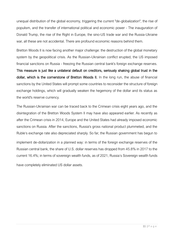unequal distribution of the global economy, triggering the current "de-globalization", the rise of populism, and the transfer of international political and economic power - The inauguration of Donald Trump, the rise of the Right in Europe, the sino-US trade war and the Russia-Ukraine war, all these are not accidental. There are profound economic reasons behind them.

Bretton Woods II is now facing another major challenge: the destruction of the global monetary system by the geopolitical crisis. As the Russian-Ukrainian conflict erupted, the US imposed financial sanctions on Russia - freezing the Russian central bank's foreign exchange reserves.

This measure is just like a unilateral default on creditors, seriously shaking global trust in the dollar, which is the cornerstone of Bretton Woods II. In the long run, the abuse of financial sanctions by the United States will prompt some countries to reconsider the structure of foreign exchange holdings, which will gradually weaken the hegemony of the dollar and its status as the world's reserve currency.

The Russian-Ukrainian war can be traced back to the Crimean crisis eight years ago, and the disintegration of the Bretton Woods System II may have also appeared earlier. As recently as after the Crimean crisis in 2014, Europe and the United States had already imposed economic sanctions on Russia. After the sanctions, Russia's gross national product plummeted, and the Ruble's exchange rate also depreciated sharply. So far, the Russian government has begun to

implement de-dollarization in a planned way: in terms of the foreign exchange reserves of the Russian central bank, the share of U.S. dollar reserves has dropped from 45.8% in 2017 to the current 16.4%; in terms of sovereign wealth funds, as of 2021, Russia's Sovereign wealth funds

have completely eliminated US dollar assets.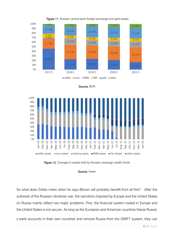







Figure 12. Changes in assets held by Russian sovereign wealth funds

#### Source. Haver

So what does Zoltan mean when he says Bitcoin will probably benefit from all this? After the outbreak of the Russian-Ukrainian war, the sanctions imposed by Europe and the United States on Russia mainly reflect two major problems: First, the financial system rooted in Europe and the United States is not secure. As long as the European and American countries freeze Russia'

s bank accounts in their own countries and remove Russia from the SWIFT system, they can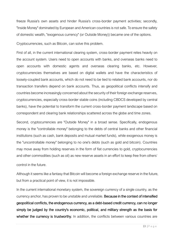freeze Russia's own assets and hinder Russia's cross-border payment activities; secondly, "Inside Money" dominated by European and American countries is not safe. To ensure the safety of domestic wealth, "exogenous currency" (or Outside Money)) became one of the options.

Cryptocurrencies, such as Bitcoin, can solve this problem.

First of all, in the current international clearing system, cross-border payment relies heavily on the account system. Users need to open accounts with banks, and overseas banks need to open accounts with domestic agents and overseas clearing banks, etc. However, cryptocurrencies themselves are based on digital wallets and have the characteristics of loosely-coupled bank accounts, which do not need to be tied to related bank accounts, nor do transaction transfers depend on bank accounts. Thus, as geopolitical conflicts intensify and countries become increasingly concerned about the security of their foreign exchange reserves, cryptocurrencies, especially cross-border stable coins (including CBDCS developed by central banks), have the potential to transform the current cross-border payment landscape based on correspondent and clearing bank relationships scattered across the globe and time zones.

Second, cryptocurrencies are "Outside Money" in a broad sense. Specifically, endogenous money is the "controllable money" belonging to the debts of central banks and other financial institutions (such as cash, bank deposits and mutual market funds), while exogenous money is the "uncontrollable money" belonging to no one's debts (such as gold and bitcoin). Countries may move away from holding reserves in the form of fiat currencies to gold, cryptocurrencies and other commodities (such as oil) as new reserve assets in an effort to keep free from others'

control in the future.

Although it seems like a fantasy that Bitcoin will become a foreign exchange reserve in the future, but from a practical point of view, it is not impossible.

In the current international monetary system, the sovereign currency of a single country, as the currency anchor, has proven to be unstable and unreliable. Because in the context of intensified geopolitical conflicts, the endogenous currency, as a debt-based credit currency, can no longer simply be judged by the country's economic, political, and military strength as the basis for whether the currency is trustworthy. In addition, the conflicts between various countries are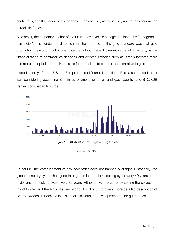continuous, and the notion of a super-sovereign currency as a currency anchor has become an unrealistic fantasy.

As a result, the monetary anchor of the future may revert to a stage dominated by "endogenous currencies". The fundamental reason for the collapse of the gold standard was that gold production grew at a much slower rate than global trade. However, in the 21st century, as the financialization of commodities deepens and cryptocurrencies such as Bitcoin become more and more accepted, it is not impossible for both sides to become an alternative to gold.

Indeed, shortly after the US and Europe imposed financial sanctions, Russia announced that it was considering accepting Bitcoin as payment for its oil and gas exports, and BTC/RUB transactions began to surge.





Source. The block

Of course, the establishment of any new order does not happen overnight. Historically, the global monetary system has gone through a minor anchor-seeking cycle every 40 years and a major anchor-seeking cycle every 80 years. Although we are currently seeing the collapse of the old order and the birth of a new world, it is difficult to give a more detailed description of Bretton Woods III. Because in this uncertain world, no development can be guaranteed.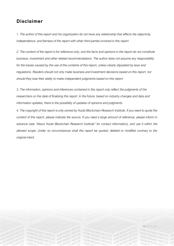### **Disclaimer**

*1. The author of this report and his organization do not have any relationship that affects the objectivity, independence, and fairness of the report with other third parties involved in this report.*

*2. The content of the report is for reference only, and the facts and opinions in the report do not constitute business, investment and other related recommendations. The author does not assume any responsibility for the losses caused by the use of the contents of this report, unless clearly stipulated by laws and regulations. Readers should not only make business and investment decisions based on this report, nor should they lose their ability to make independent judgments based on this report.*

*3. The information, opinions and inferences contained in this report only reflect the judgments of the researchers on the date of finalizing this report. In the future, based on industry changes and data and information updates, there is the possibility of updates of opinions and judgments.*

*4. The copyright of this report is only owned by Huobi Blockchain Research Institute. If you need to quote the content of this report, please indicate the source. If you need a large amount of reference, please inform in advance (see "About Huobi Blockchain Research Institute" for contact information), and use it within the allowed scope. Under no circumstances shall this report be quoted, deleted or modified contrary to the original intent.*